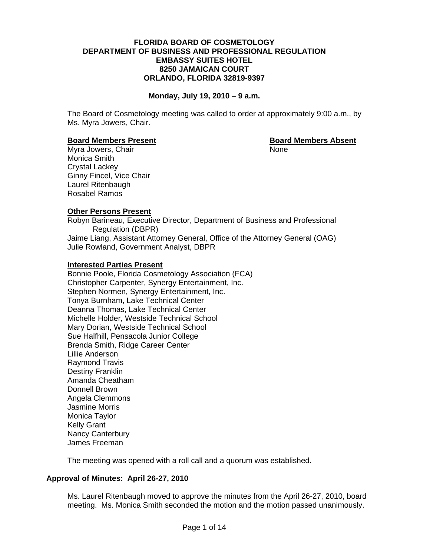#### **FLORIDA BOARD OF COSMETOLOGY DEPARTMENT OF BUSINESS AND PROFESSIONAL REGULATION EMBASSY SUITES HOTEL 8250 JAMAICAN COURT ORLANDO, FLORIDA 32819-9397**

#### **Monday, July 19, 2010 – 9 a.m.**

The Board of Cosmetology meeting was called to order at approximately 9:00 a.m., by Ms. Myra Jowers, Chair.

#### **Board Members Present Communist Communist Property Research Board Members Absent**

Myra Jowers, Chair None Monica Smith Crystal Lackey Ginny Fincel, Vice Chair Laurel Ritenbaugh Rosabel Ramos

#### **Other Persons Present**

Robyn Barineau, Executive Director, Department of Business and Professional Regulation (DBPR) Jaime Liang, Assistant Attorney General, Office of the Attorney General (OAG) Julie Rowland, Government Analyst, DBPR

#### **Interested Parties Present**

Bonnie Poole, Florida Cosmetology Association (FCA) Christopher Carpenter, Synergy Entertainment, Inc. Stephen Normen, Synergy Entertainment, Inc. Tonya Burnham, Lake Technical Center Deanna Thomas, Lake Technical Center Michelle Holder, Westside Technical School Mary Dorian, Westside Technical School Sue Halfhill, Pensacola Junior College Brenda Smith, Ridge Career Center Lillie Anderson Raymond Travis Destiny Franklin Amanda Cheatham Donnell Brown Angela Clemmons Jasmine Morris Monica Taylor Kelly Grant Nancy Canterbury James Freeman

The meeting was opened with a roll call and a quorum was established.

#### **Approval of Minutes: April 26-27, 2010**

Ms. Laurel Ritenbaugh moved to approve the minutes from the April 26-27, 2010, board meeting. Ms. Monica Smith seconded the motion and the motion passed unanimously.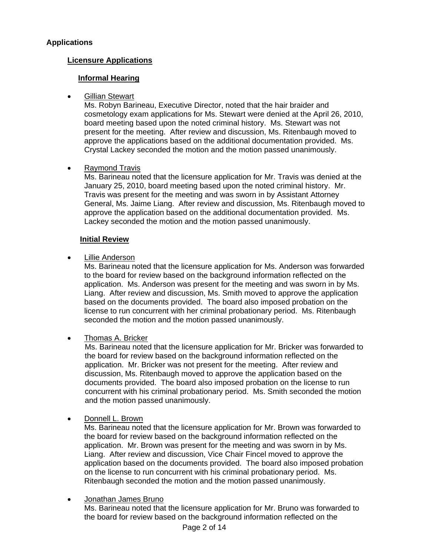# **Applications**

## **Licensure Applications**

## **Informal Hearing**

## Gillian Stewart

Ms. Robyn Barineau, Executive Director, noted that the hair braider and cosmetology exam applications for Ms. Stewart were denied at the April 26, 2010, board meeting based upon the noted criminal history. Ms. Stewart was not present for the meeting. After review and discussion, Ms. Ritenbaugh moved to approve the applications based on the additional documentation provided. Ms. Crystal Lackey seconded the motion and the motion passed unanimously.

## • Raymond Travis

Ms. Barineau noted that the licensure application for Mr. Travis was denied at the January 25, 2010, board meeting based upon the noted criminal history. Mr. Travis was present for the meeting and was sworn in by Assistant Attorney General, Ms. Jaime Liang. After review and discussion, Ms. Ritenbaugh moved to approve the application based on the additional documentation provided. Ms. Lackey seconded the motion and the motion passed unanimously.

#### **Initial Review**

## • Lillie Anderson

Ms. Barineau noted that the licensure application for Ms. Anderson was forwarded to the board for review based on the background information reflected on the application. Ms. Anderson was present for the meeting and was sworn in by Ms. Liang. After review and discussion, Ms. Smith moved to approve the application based on the documents provided. The board also imposed probation on the license to run concurrent with her criminal probationary period. Ms. Ritenbaugh seconded the motion and the motion passed unanimously.

## • Thomas A. Bricker

Ms. Barineau noted that the licensure application for Mr. Bricker was forwarded to the board for review based on the background information reflected on the application. Mr. Bricker was not present for the meeting. After review and discussion, Ms. Ritenbaugh moved to approve the application based on the documents provided. The board also imposed probation on the license to run concurrent with his criminal probationary period. Ms. Smith seconded the motion and the motion passed unanimously.

## • Donnell L. Brown

Ms. Barineau noted that the licensure application for Mr. Brown was forwarded to the board for review based on the background information reflected on the application. Mr. Brown was present for the meeting and was sworn in by Ms. Liang. After review and discussion, Vice Chair Fincel moved to approve the application based on the documents provided. The board also imposed probation on the license to run concurrent with his criminal probationary period. Ms. Ritenbaugh seconded the motion and the motion passed unanimously.

## • Jonathan James Bruno

Ms. Barineau noted that the licensure application for Mr. Bruno was forwarded to the board for review based on the background information reflected on the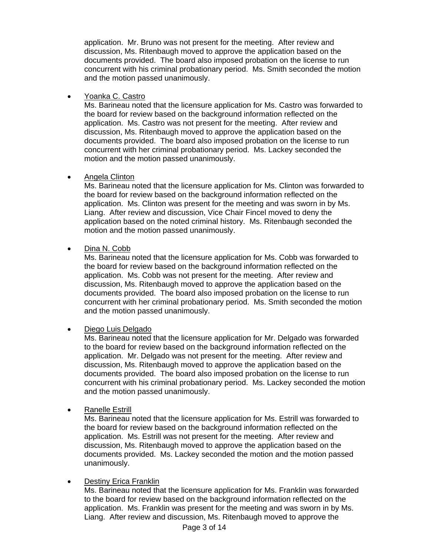application. Mr. Bruno was not present for the meeting. After review and discussion, Ms. Ritenbaugh moved to approve the application based on the documents provided. The board also imposed probation on the license to run concurrent with his criminal probationary period. Ms. Smith seconded the motion and the motion passed unanimously.

• Yoanka C. Castro

Ms. Barineau noted that the licensure application for Ms. Castro was forwarded to the board for review based on the background information reflected on the application. Ms. Castro was not present for the meeting. After review and discussion, Ms. Ritenbaugh moved to approve the application based on the documents provided. The board also imposed probation on the license to run concurrent with her criminal probationary period. Ms. Lackey seconded the motion and the motion passed unanimously.

## • Angela Clinton

Ms. Barineau noted that the licensure application for Ms. Clinton was forwarded to the board for review based on the background information reflected on the application. Ms. Clinton was present for the meeting and was sworn in by Ms. Liang. After review and discussion, Vice Chair Fincel moved to deny the application based on the noted criminal history. Ms. Ritenbaugh seconded the motion and the motion passed unanimously.

## Dina N. Cobb

Ms. Barineau noted that the licensure application for Ms. Cobb was forwarded to the board for review based on the background information reflected on the application. Ms. Cobb was not present for the meeting. After review and discussion, Ms. Ritenbaugh moved to approve the application based on the documents provided. The board also imposed probation on the license to run concurrent with her criminal probationary period. Ms. Smith seconded the motion and the motion passed unanimously.

## • Diego Luis Delgado

Ms. Barineau noted that the licensure application for Mr. Delgado was forwarded to the board for review based on the background information reflected on the application. Mr. Delgado was not present for the meeting. After review and discussion, Ms. Ritenbaugh moved to approve the application based on the documents provided. The board also imposed probation on the license to run concurrent with his criminal probationary period. Ms. Lackey seconded the motion and the motion passed unanimously.

• Ranelle Estrill

Ms. Barineau noted that the licensure application for Ms. Estrill was forwarded to the board for review based on the background information reflected on the application. Ms. Estrill was not present for the meeting. After review and discussion, Ms. Ritenbaugh moved to approve the application based on the documents provided. Ms. Lackey seconded the motion and the motion passed unanimously.

## • Destiny Erica Franklin

Ms. Barineau noted that the licensure application for Ms. Franklin was forwarded to the board for review based on the background information reflected on the application. Ms. Franklin was present for the meeting and was sworn in by Ms. Liang. After review and discussion, Ms. Ritenbaugh moved to approve the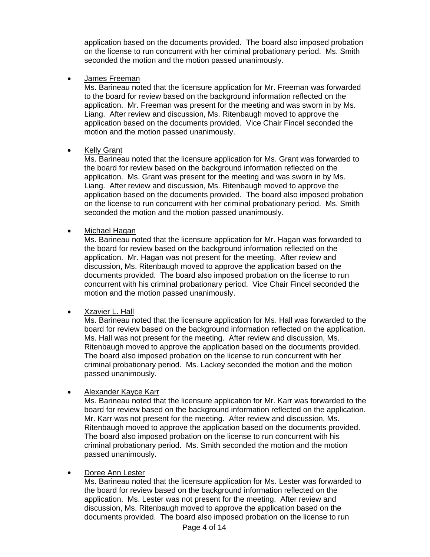application based on the documents provided. The board also imposed probation on the license to run concurrent with her criminal probationary period. Ms. Smith seconded the motion and the motion passed unanimously.

• James Freeman

Ms. Barineau noted that the licensure application for Mr. Freeman was forwarded to the board for review based on the background information reflected on the application. Mr. Freeman was present for the meeting and was sworn in by Ms. Liang. After review and discussion, Ms. Ritenbaugh moved to approve the application based on the documents provided. Vice Chair Fincel seconded the motion and the motion passed unanimously.

## **Kelly Grant**

Ms. Barineau noted that the licensure application for Ms. Grant was forwarded to the board for review based on the background information reflected on the application. Ms. Grant was present for the meeting and was sworn in by Ms. Liang. After review and discussion, Ms. Ritenbaugh moved to approve the application based on the documents provided. The board also imposed probation on the license to run concurrent with her criminal probationary period. Ms. Smith seconded the motion and the motion passed unanimously.

• Michael Hagan

Ms. Barineau noted that the licensure application for Mr. Hagan was forwarded to the board for review based on the background information reflected on the application. Mr. Hagan was not present for the meeting. After review and discussion, Ms. Ritenbaugh moved to approve the application based on the documents provided. The board also imposed probation on the license to run concurrent with his criminal probationary period. Vice Chair Fincel seconded the motion and the motion passed unanimously.

• Xzavier L. Hall

Ms. Barineau noted that the licensure application for Ms. Hall was forwarded to the board for review based on the background information reflected on the application. Ms. Hall was not present for the meeting. After review and discussion, Ms. Ritenbaugh moved to approve the application based on the documents provided. The board also imposed probation on the license to run concurrent with her criminal probationary period. Ms. Lackey seconded the motion and the motion passed unanimously.

• Alexander Kayce Karr

Ms. Barineau noted that the licensure application for Mr. Karr was forwarded to the board for review based on the background information reflected on the application. Mr. Karr was not present for the meeting. After review and discussion, Ms. Ritenbaugh moved to approve the application based on the documents provided. The board also imposed probation on the license to run concurrent with his criminal probationary period. Ms. Smith seconded the motion and the motion passed unanimously.

## • Doree Ann Lester

Ms. Barineau noted that the licensure application for Ms. Lester was forwarded to the board for review based on the background information reflected on the application. Ms. Lester was not present for the meeting. After review and discussion, Ms. Ritenbaugh moved to approve the application based on the documents provided. The board also imposed probation on the license to run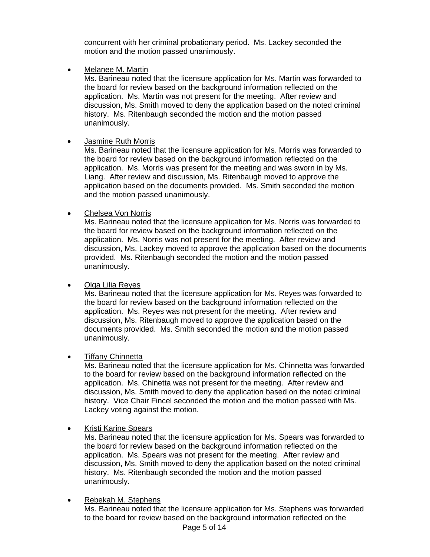concurrent with her criminal probationary period. Ms. Lackey seconded the motion and the motion passed unanimously.

• Melanee M. Martin

Ms. Barineau noted that the licensure application for Ms. Martin was forwarded to the board for review based on the background information reflected on the application. Ms. Martin was not present for the meeting. After review and discussion, Ms. Smith moved to deny the application based on the noted criminal history. Ms. Ritenbaugh seconded the motion and the motion passed unanimously.

• Jasmine Ruth Morris

Ms. Barineau noted that the licensure application for Ms. Morris was forwarded to the board for review based on the background information reflected on the application. Ms. Morris was present for the meeting and was sworn in by Ms. Liang. After review and discussion, Ms. Ritenbaugh moved to approve the application based on the documents provided. Ms. Smith seconded the motion and the motion passed unanimously.

• Chelsea Von Norris

Ms. Barineau noted that the licensure application for Ms. Norris was forwarded to the board for review based on the background information reflected on the application. Ms. Norris was not present for the meeting. After review and discussion, Ms. Lackey moved to approve the application based on the documents provided. Ms. Ritenbaugh seconded the motion and the motion passed unanimously.

• Olga Lilia Reyes

Ms. Barineau noted that the licensure application for Ms. Reyes was forwarded to the board for review based on the background information reflected on the application. Ms. Reyes was not present for the meeting. After review and discussion, Ms. Ritenbaugh moved to approve the application based on the documents provided. Ms. Smith seconded the motion and the motion passed unanimously.

• Tiffany Chinnetta

Ms. Barineau noted that the licensure application for Ms. Chinnetta was forwarded to the board for review based on the background information reflected on the application. Ms. Chinetta was not present for the meeting. After review and discussion, Ms. Smith moved to deny the application based on the noted criminal history. Vice Chair Fincel seconded the motion and the motion passed with Ms. Lackey voting against the motion.

• Kristi Karine Spears

Ms. Barineau noted that the licensure application for Ms. Spears was forwarded to the board for review based on the background information reflected on the application. Ms. Spears was not present for the meeting. After review and discussion, Ms. Smith moved to deny the application based on the noted criminal history. Ms. Ritenbaugh seconded the motion and the motion passed unanimously.

• Rebekah M. Stephens

Ms. Barineau noted that the licensure application for Ms. Stephens was forwarded to the board for review based on the background information reflected on the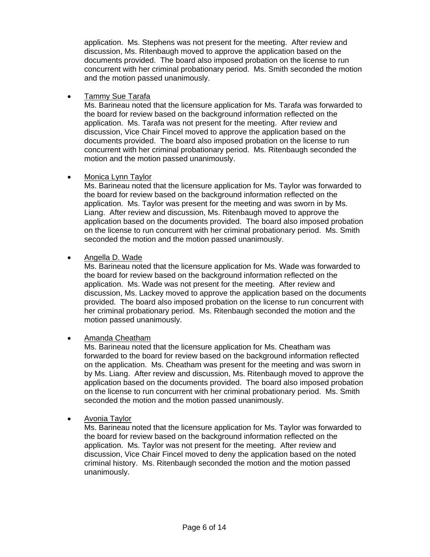application. Ms. Stephens was not present for the meeting. After review and discussion, Ms. Ritenbaugh moved to approve the application based on the documents provided. The board also imposed probation on the license to run concurrent with her criminal probationary period. Ms. Smith seconded the motion and the motion passed unanimously.

## • Tammy Sue Tarafa

Ms. Barineau noted that the licensure application for Ms. Tarafa was forwarded to the board for review based on the background information reflected on the application. Ms. Tarafa was not present for the meeting. After review and discussion, Vice Chair Fincel moved to approve the application based on the documents provided. The board also imposed probation on the license to run concurrent with her criminal probationary period. Ms. Ritenbaugh seconded the motion and the motion passed unanimously.

## • Monica Lynn Taylor

Ms. Barineau noted that the licensure application for Ms. Taylor was forwarded to the board for review based on the background information reflected on the application. Ms. Taylor was present for the meeting and was sworn in by Ms. Liang. After review and discussion, Ms. Ritenbaugh moved to approve the application based on the documents provided. The board also imposed probation on the license to run concurrent with her criminal probationary period. Ms. Smith seconded the motion and the motion passed unanimously.

## • Angella D. Wade

Ms. Barineau noted that the licensure application for Ms. Wade was forwarded to the board for review based on the background information reflected on the application. Ms. Wade was not present for the meeting. After review and discussion, Ms. Lackey moved to approve the application based on the documents provided. The board also imposed probation on the license to run concurrent with her criminal probationary period. Ms. Ritenbaugh seconded the motion and the motion passed unanimously.

## • Amanda Cheatham

Ms. Barineau noted that the licensure application for Ms. Cheatham was forwarded to the board for review based on the background information reflected on the application. Ms. Cheatham was present for the meeting and was sworn in by Ms. Liang. After review and discussion, Ms. Ritenbaugh moved to approve the application based on the documents provided. The board also imposed probation on the license to run concurrent with her criminal probationary period. Ms. Smith seconded the motion and the motion passed unanimously.

## • Avonia Taylor

Ms. Barineau noted that the licensure application for Ms. Taylor was forwarded to the board for review based on the background information reflected on the application. Ms. Taylor was not present for the meeting. After review and discussion, Vice Chair Fincel moved to deny the application based on the noted criminal history. Ms. Ritenbaugh seconded the motion and the motion passed unanimously.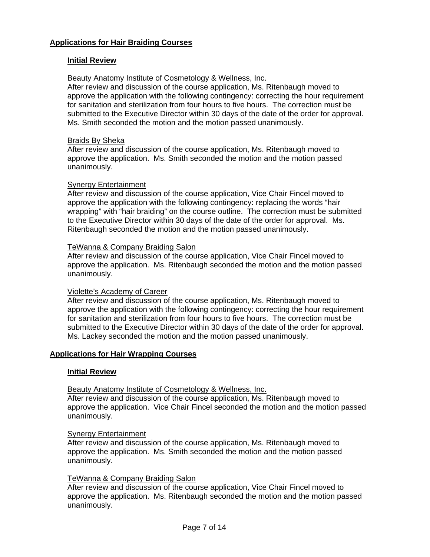## **Initial Review**

#### Beauty Anatomy Institute of Cosmetology & Wellness, Inc.

After review and discussion of the course application, Ms. Ritenbaugh moved to approve the application with the following contingency: correcting the hour requirement for sanitation and sterilization from four hours to five hours. The correction must be submitted to the Executive Director within 30 days of the date of the order for approval. Ms. Smith seconded the motion and the motion passed unanimously.

#### Braids By Sheka

After review and discussion of the course application, Ms. Ritenbaugh moved to approve the application. Ms. Smith seconded the motion and the motion passed unanimously.

#### Synergy Entertainment

After review and discussion of the course application, Vice Chair Fincel moved to approve the application with the following contingency: replacing the words "hair wrapping" with "hair braiding" on the course outline. The correction must be submitted to the Executive Director within 30 days of the date of the order for approval. Ms. Ritenbaugh seconded the motion and the motion passed unanimously.

#### TeWanna & Company Braiding Salon

After review and discussion of the course application, Vice Chair Fincel moved to approve the application. Ms. Ritenbaugh seconded the motion and the motion passed unanimously.

#### Violette's Academy of Career

After review and discussion of the course application, Ms. Ritenbaugh moved to approve the application with the following contingency: correcting the hour requirement for sanitation and sterilization from four hours to five hours. The correction must be submitted to the Executive Director within 30 days of the date of the order for approval. Ms. Lackey seconded the motion and the motion passed unanimously.

#### **Applications for Hair Wrapping Courses**

#### **Initial Review**

#### Beauty Anatomy Institute of Cosmetology & Wellness, Inc.

After review and discussion of the course application, Ms. Ritenbaugh moved to approve the application. Vice Chair Fincel seconded the motion and the motion passed unanimously.

#### **Synergy Entertainment**

After review and discussion of the course application, Ms. Ritenbaugh moved to approve the application. Ms. Smith seconded the motion and the motion passed unanimously.

#### TeWanna & Company Braiding Salon

After review and discussion of the course application, Vice Chair Fincel moved to approve the application. Ms. Ritenbaugh seconded the motion and the motion passed unanimously.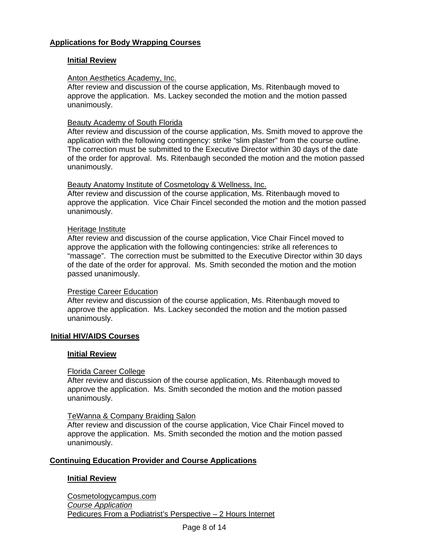## **Initial Review**

## Anton Aesthetics Academy, Inc.

After review and discussion of the course application, Ms. Ritenbaugh moved to approve the application. Ms. Lackey seconded the motion and the motion passed unanimously.

## Beauty Academy of South Florida

After review and discussion of the course application, Ms. Smith moved to approve the application with the following contingency: strike "slim plaster" from the course outline. The correction must be submitted to the Executive Director within 30 days of the date of the order for approval. Ms. Ritenbaugh seconded the motion and the motion passed unanimously.

#### Beauty Anatomy Institute of Cosmetology & Wellness, Inc.

After review and discussion of the course application, Ms. Ritenbaugh moved to approve the application. Vice Chair Fincel seconded the motion and the motion passed unanimously.

## Heritage Institute

After review and discussion of the course application, Vice Chair Fincel moved to approve the application with the following contingencies: strike all references to "massage". The correction must be submitted to the Executive Director within 30 days of the date of the order for approval. Ms. Smith seconded the motion and the motion passed unanimously.

#### Prestige Career Education

After review and discussion of the course application, Ms. Ritenbaugh moved to approve the application. Ms. Lackey seconded the motion and the motion passed unanimously.

#### **Initial HIV/AIDS Courses**

#### **Initial Review**

#### Florida Career College

After review and discussion of the course application, Ms. Ritenbaugh moved to approve the application. Ms. Smith seconded the motion and the motion passed unanimously.

#### TeWanna & Company Braiding Salon

 After review and discussion of the course application, Vice Chair Fincel moved to approve the application. Ms. Smith seconded the motion and the motion passed unanimously.

## **Continuing Education Provider and Course Applications**

## **Initial Review**

Cosmetologycampus.com *Course Application* Pedicures From a Podiatrist's Perspective – 2 Hours Internet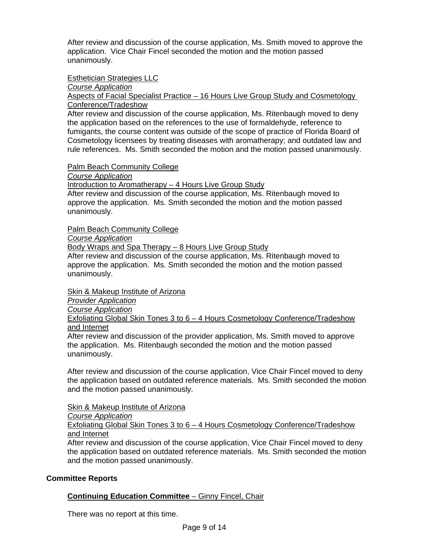After review and discussion of the course application, Ms. Smith moved to approve the application. Vice Chair Fincel seconded the motion and the motion passed unanimously.

## Esthetician Strategies LLC

*Course Application*

Aspects of Facial Specialist Practice – 16 Hours Live Group Study and Cosmetology Conference/Tradeshow

After review and discussion of the course application, Ms. Ritenbaugh moved to deny the application based on the references to the use of formaldehyde, reference to fumigants, the course content was outside of the scope of practice of Florida Board of Cosmetology licensees by treating diseases with aromatherapy; and outdated law and rule references. Ms. Smith seconded the motion and the motion passed unanimously.

#### Palm Beach Community College

*Course Application*

Introduction to Aromatherapy – 4 Hours Live Group Study

After review and discussion of the course application, Ms. Ritenbaugh moved to approve the application. Ms. Smith seconded the motion and the motion passed unanimously.

Palm Beach Community College

*Course Application*

Body Wraps and Spa Therapy – 8 Hours Live Group Study

After review and discussion of the course application, Ms. Ritenbaugh moved to approve the application. Ms. Smith seconded the motion and the motion passed unanimously.

Skin & Makeup Institute of Arizona

*Provider Application* 

*Course Application*

Exfoliating Global Skin Tones 3 to 6 – 4 Hours Cosmetology Conference/Tradeshow and Internet

After review and discussion of the provider application, Ms. Smith moved to approve the application. Ms. Ritenbaugh seconded the motion and the motion passed unanimously.

After review and discussion of the course application, Vice Chair Fincel moved to deny the application based on outdated reference materials. Ms. Smith seconded the motion and the motion passed unanimously.

#### Skin & Makeup Institute of Arizona

*Course Application*

Exfoliating Global Skin Tones 3 to 6 – 4 Hours Cosmetology Conference/Tradeshow and Internet

After review and discussion of the course application, Vice Chair Fincel moved to deny the application based on outdated reference materials. Ms. Smith seconded the motion and the motion passed unanimously.

## **Committee Reports**

## **Continuing Education Committee** – Ginny Fincel, Chair

There was no report at this time.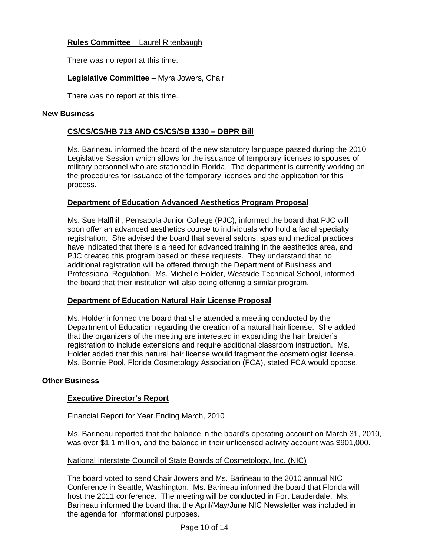# **Rules Committee** – Laurel Ritenbaugh

There was no report at this time.

# **Legislative Committee** – Myra Jowers, Chair

There was no report at this time.

## **New Business**

# **CS/CS/CS/HB 713 AND CS/CS/SB 1330 – DBPR Bill**

Ms. Barineau informed the board of the new statutory language passed during the 2010 Legislative Session which allows for the issuance of temporary licenses to spouses of military personnel who are stationed in Florida. The department is currently working on the procedures for issuance of the temporary licenses and the application for this process.

# **Department of Education Advanced Aesthetics Program Proposal**

Ms. Sue Halfhill, Pensacola Junior College (PJC), informed the board that PJC will soon offer an advanced aesthetics course to individuals who hold a facial specialty registration. She advised the board that several salons, spas and medical practices have indicated that there is a need for advanced training in the aesthetics area, and PJC created this program based on these requests. They understand that no additional registration will be offered through the Department of Business and Professional Regulation. Ms. Michelle Holder, Westside Technical School, informed the board that their institution will also being offering a similar program.

## **Department of Education Natural Hair License Proposal**

Ms. Holder informed the board that she attended a meeting conducted by the Department of Education regarding the creation of a natural hair license. She added that the organizers of the meeting are interested in expanding the hair braider's registration to include extensions and require additional classroom instruction. Ms. Holder added that this natural hair license would fragment the cosmetologist license. Ms. Bonnie Pool, Florida Cosmetology Association (FCA), stated FCA would oppose.

# **Other Business**

## **Executive Director's Report**

## Financial Report for Year Ending March, 2010

Ms. Barineau reported that the balance in the board's operating account on March 31, 2010, was over \$1.1 million, and the balance in their unlicensed activity account was \$901,000.

## National Interstate Council of State Boards of Cosmetology, Inc. (NIC)

The board voted to send Chair Jowers and Ms. Barineau to the 2010 annual NIC Conference in Seattle, Washington. Ms. Barineau informed the board that Florida will host the 2011 conference. The meeting will be conducted in Fort Lauderdale. Ms. Barineau informed the board that the April/May/June NIC Newsletter was included in the agenda for informational purposes.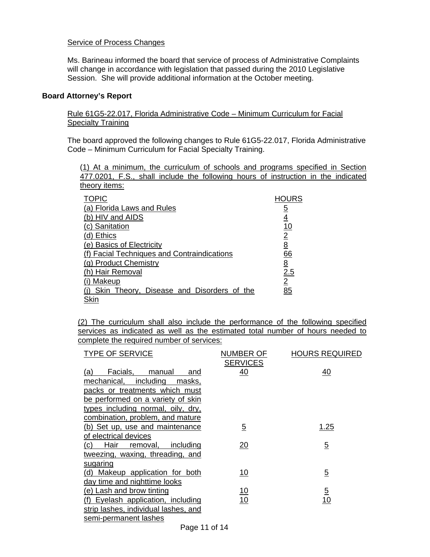## **Service of Process Changes**

Ms. Barineau informed the board that service of process of Administrative Complaints will change in accordance with legislation that passed during the 2010 Legislative Session. She will provide additional information at the October meeting.

#### **Board Attorney's Report**

Rule 61G5-22.017, Florida Administrative Code – Minimum Curriculum for Facial Specialty Training

The board approved the following changes to Rule 61G5-22.017, Florida Administrative Code – Minimum Curriculum for Facial Specialty Training.

(1) At a minimum, the curriculum of schools and programs specified in Section 477.0201, F.S., shall include the following hours of instruction in the indicated theory items:

| <b>TOPIC</b>                                  | <b>HOURS</b>   |
|-----------------------------------------------|----------------|
| (a) Florida Laws and Rules                    | <u>5</u>       |
| (b) HIV and AIDS                              | <u>4</u>       |
| (c) Sanitation                                | <u>10</u>      |
| (d) Ethics                                    | $\overline{2}$ |
| (e) Basics of Electricity                     | <u>8</u>       |
| (f) Facial Techniques and Contraindications   | 66             |
| (g) Product Chemistry                         | <u>8</u>       |
| (h) Hair Removal                              | 2.5            |
| (i) Makeup                                    | $\overline{2}$ |
| (i) Skin Theory, Disease and Disorders of the | 85             |
| Skin                                          |                |

(2) The curriculum shall also include the performance of the following specified services as indicated as well as the estimated total number of hours needed to complete the required number of services:

| <b>TYPE OF SERVICE</b>                   | NUMBER OF       | <b>HOURS REQUIRED</b> |
|------------------------------------------|-----------------|-----------------------|
|                                          | <b>SERVICES</b> |                       |
| Facials,<br>manual<br>(a)<br>and         | 40              | 40                    |
| mechanical,<br>including<br>masks,       |                 |                       |
| packs or treatments which must           |                 |                       |
| be performed on a variety of skin        |                 |                       |
| types including normal, oily, dry,       |                 |                       |
| combination, problem, and mature         |                 |                       |
| (b) Set up, use and maintenance          | $\overline{5}$  | 1.25                  |
| of electrical devices                    |                 |                       |
| (c)<br>Hair removal,<br><u>including</u> | 20              | $\overline{5}$        |
| tweezing, waxing, threading, and         |                 |                       |
| sugaring                                 |                 |                       |
| (d) Makeup application for both          | 10              | $\overline{5}$        |
| day time and nighttime looks             |                 |                       |
| (e) Lash and brow tinting                | <u> 10</u>      | $\overline{5}$        |
| (f) Eyelash application, including       | 10              | 10                    |
| strip lashes, individual lashes, and     |                 |                       |
| semi-permanent lashes                    |                 |                       |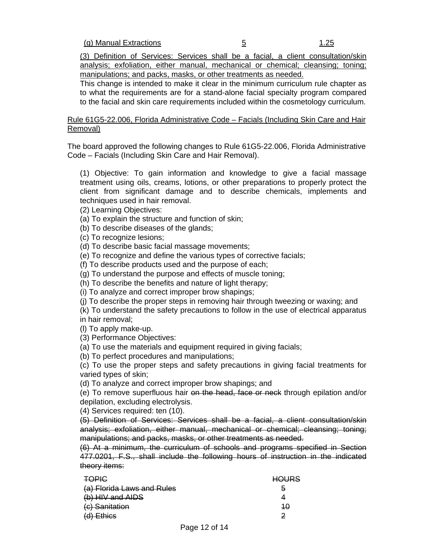(3) Definition of Services: Services shall be a facial, a client consultation/skin analysis; exfoliation, either manual, mechanical or chemical; cleansing; toning; manipulations; and packs, masks, or other treatments as needed.

This change is intended to make it clear in the minimum curriculum rule chapter as to what the requirements are for a stand-alone facial specialty program compared to the facial and skin care requirements included within the cosmetology curriculum.

Rule 61G5-22.006, Florida Administrative Code – Facials (Including Skin Care and Hair Removal)

The board approved the following changes to Rule 61G5-22.006, Florida Administrative Code – Facials (Including Skin Care and Hair Removal).

(1) Objective: To gain information and knowledge to give a facial massage treatment using oils, creams, lotions, or other preparations to properly protect the client from significant damage and to describe chemicals, implements and techniques used in hair removal.

- (2) Learning Objectives:
- (a) To explain the structure and function of skin;
- (b) To describe diseases of the glands;
- (c) To recognize lesions;

(d) To describe basic facial massage movements;

(e) To recognize and define the various types of corrective facials;

(f) To describe products used and the purpose of each;

(g) To understand the purpose and effects of muscle toning;

(h) To describe the benefits and nature of light therapy;

(i) To analyze and correct improper brow shapings;

(j) To describe the proper steps in removing hair through tweezing or waxing; and

(k) To understand the safety precautions to follow in the use of electrical apparatus in hair removal;

(l) To apply make-up.

(3) Performance Objectives:

(a) To use the materials and equipment required in giving facials;

(b) To perfect procedures and manipulations;

(c) To use the proper steps and safety precautions in giving facial treatments for varied types of skin;

(d) To analyze and correct improper brow shapings; and

(e) To remove superfluous hair on the head, face or neck through epilation and/or depilation, excluding electrolysis.

(4) Services required: ten (10).

(5) Definition of Services: Services shall be a facial, a client consultation/skin analysis; exfoliation, either manual, mechanical or chemical; cleansing; toning; manipulations; and packs, masks, or other treatments as needed.

(6) At a minimum, the curriculum of schools and programs specified in Section 477.0201, F.S., shall include the following hours of instruction in the indicated theory items:

| <b>TOPIC</b>               | אםו ור<br><del>noono</del> |
|----------------------------|----------------------------|
| (a) Florida Laws and Rules | ð                          |
| (b) HIV and AIDS           |                            |
| (c) Sanitation             | 40                         |
| $(d)$ Ethics               | 2                          |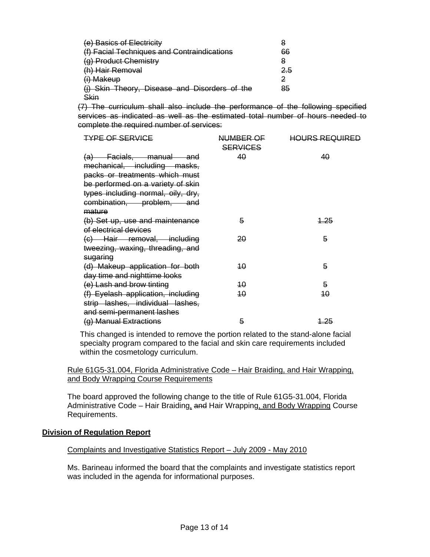| (e) Basics of Electricity                     | 8   |
|-----------------------------------------------|-----|
| (f) Facial Techniques and Contraindications   | 66  |
| (g) Product Chemistry                         | 8   |
| (h) Hair Removal                              | 2.5 |
| (i) Makeup                                    |     |
| (j) Skin Theory, Disease and Disorders of the | 85  |
| <b>Skin</b>                                   |     |

(7) The curriculum shall also include the performance of the following specified services as indicated as well as the estimated total number of hours needed to complete the required number of services:

| <b>TYPE OF SERVICE</b>                                                                                                                                                                            | NUMBER OF<br><b>SERVICES</b> | <b>HOURS REQUIRED</b> |
|---------------------------------------------------------------------------------------------------------------------------------------------------------------------------------------------------|------------------------------|-----------------------|
| (a) Facials, manual and<br>mechanical, including masks,<br>packs or treatments which must<br>be performed on a variety of skin<br>types including normal, oily, dry,<br>combination, problem, and | 40                           | 40                    |
| mature<br>(b) Set up, use and maintenance<br>of electrical devices                                                                                                                                | 5                            | <u> 4.25</u>          |
| (c) Hair removal, including<br>tweezing, waxing, threading, and<br>sugaring                                                                                                                       | 20                           | 5                     |
| (d) Makeup application for both<br>day time and nighttime looks                                                                                                                                   | 40                           | 5                     |
| (e) Lash and brow tinting                                                                                                                                                                         | 10                           | 5                     |
| (f) Eyelash application, including<br>strip lashes, individual lashes,<br>and semi-permanent lashes                                                                                               | 40                           | 40                    |
| (g) Manual Extractions                                                                                                                                                                            | 5                            | <u> 1.25</u>          |

This changed is intended to remove the portion related to the stand-alone facial specialty program compared to the facial and skin care requirements included within the cosmetology curriculum.

Rule 61G5-31.004, Florida Administrative Code – Hair Braiding, and Hair Wrapping, and Body Wrapping Course Requirements

The board approved the following change to the title of Rule 61G5-31.004, Florida Administrative Code – Hair Braiding, and Hair Wrapping, and Body Wrapping Course Requirements.

#### **Division of Regulation Report**

#### Complaints and Investigative Statistics Report – July 2009 - May 2010

Ms. Barineau informed the board that the complaints and investigate statistics report was included in the agenda for informational purposes.